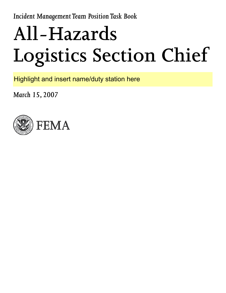*Incident Management Team Position Task Book*

# **All-Hazards Logistics Section Chief**

Highlight and insert name/duty station here

*March 15, 2007*

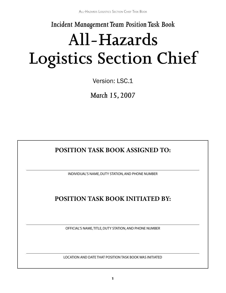*Incident Management Team Position Task Book*

## **All-Hazards Logistics Section Chief**

Version: LSC.1

*March 15, 2007*

## **POSITION TASK BOOK ASSIGNED TO:**

INDIVIDUAL'S NAME, DUTY STATION, AND PHONE NUMBER

## **POSITION TASK BOOK INITIATED BY:**

OFFICIAL'S NAME, TITLE, DUTY STATION, AND PHONE NUMBER

LOCATION AND DATE THAT POSITION TASK BOOK WAS INITIATED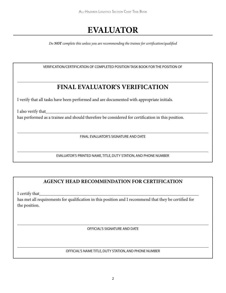## **EVALUATOR**

*Do not complete this unless you are recommending the trainee for certification/qualified*

VERIFICATION/CERTIFICATION OF COMPLETED POSITION TASK BOOK FOR THE POSITION OF

## **FINAL EVALUATOR'S VERIFICATION**

I verify that all tasks have been performed and are documented with appropriate initials.

I also verify that\_\_\_\_\_\_\_\_\_\_\_\_\_\_\_\_\_\_\_\_\_\_\_\_\_\_\_\_\_\_\_\_\_\_\_\_\_\_\_\_\_\_\_\_\_\_\_\_\_\_\_\_\_\_\_\_\_\_\_\_\_\_\_\_\_\_\_\_\_\_\_\_\_ has performed as a trainee and should therefore be considered for certification in this position.

FINAL EVALUATOR'S SIGNATURE AND DATE

EVALUATOR'S PRINTED NAME, TITLE, DUTY STATION, AND PHONE NUMBER

#### **AGENCY HEAD RECOMMENDATION FOR CERTIFICATION**

I certify that

has met all requirements for qualification in this position and I recommend that they be certified for the position.

OFFICIAL'S SIGNATURE AND DATE

OFFICIAL'S NAME TITLE, DUTY STATION, AND PHONE NUMBER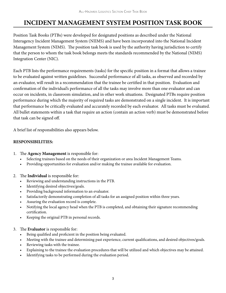## **INCIDENT MANAGEMENT SYSTEM POSITION TASK BOOK**

Position Task Books (PTBs) were developed for designated positions as described under the National Interagency Incident Management System (NIIMS) and have been incorporated into the National Incident Management System (NIMS). The position task book is used by the authority having jurisdiction to certify that the person to whom the task book belongs meets the standards recommended by the National (NIMS) Integration Center (NIC).

Each PTB lists the performance requirements (tasks) for the specific position in a format that allows a trainee to be evaluated against written guidelines. Successful performance of all tasks, as observed and recorded by an evaluator, will result in a recommendation that the trainee be certified in that position. Evaluation and confirmation of the individual's performance of all the tasks may involve more than one evaluator and can occur on incidents, in classroom simulation, and in other work situations. Designated PTBs require position performance during which the majority of required tasks are demonstrated on a single incident. It is important that performance be critically evaluated and accurately recorded by each evaluator. All tasks must be evaluated. All bullet statements within a task that require an action (contain an action verb) must be demonstrated before that task can be signed off.

A brief list of responsibilities also appears below.

#### **RESPONSIBILITIES:**

- 1. The **Agency Management** is responsible for:
	- Selecting trainees based on the needs of their organization or area Incident Management Teams.
	- • Providing opportunities for evaluation and/or making the trainee available for evaluation.
- 2. The **Individual** is responsible for:
	- Reviewing and understanding instructions in the PTB.
	- Identifying desired objectives/goals.
	- Providing background information to an evaluator.
	- Satisfactorily demonstrating completion of all tasks for an assigned position within three years.
	- Assuring the evaluation record is complete.
	- Notifying the local agency head when the PTB is completed, and obtaining their signature recommending certification.
	- Keeping the original PTB in personal records.
- 3. The **Evaluator** is responsible for:
	- Being qualified and proficient in the position being evaluated.
	- Meeting with the trainee and determining past experience, current qualifications, and desired objectives/goals.
	- Reviewing tasks with the trainee.
	- Explaining to the trainee the evaluation procedures that will be utilized and which objectives may be attained.
	- Identifying tasks to be performed during the evaluation period.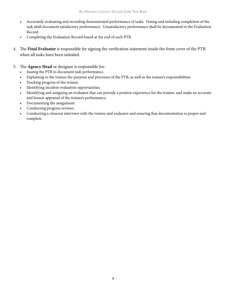- • Accurately evaluating and recording demonstrated performance of tasks. Dating and initialing completion of the task shall document satisfactory performance. Unsatisfactory performance shall be documented in the Evaluation Record.
- • Completing the Evaluation Record found at the end of each PTB.
- 4. The **Final Evaluator** is responsible for signing the verification statement inside the front cover of the PTB when all tasks have been initialed.
- 5. The **Agency Head** or designee is responsible for:
	- • Issuing the PTB to document task performance.
	- Explaining to the trainee the purpose and processes of the PTB, as well as the trainee's responsibilities.
	- • Tracking progress of the trainee.
	- Identifying incident evaluation opportunities.
	- Identifying and assigning an evaluator that can provide a positive experience for the trainee, and make an accurate and honest appraisal of the trainee's performance.
	- Documenting the assignment.
	- Conducting progress reviews.
	- Conducting a closeout interview with the trainee and evaluator and assuring that documentation is proper and complete.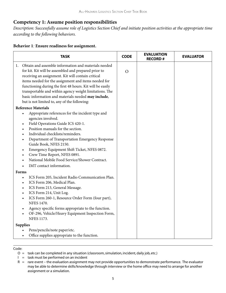#### **Competency 1: Assume position responsibilities**

*Description: Successfully assume role of Logistics Section Chief and initiate position activities at the appropriate time according to the following behaviors.* 

| <b>TASK</b>                                                                                                                                                                                                                                                                                                                                                                                                                                                                                                                                                                                                                                                                                                                                                                                                                                                                                                                                                                                                                                            | <b>CODE</b>    | <b>EVALUATION</b><br><b>RECORD#</b> | <b>EVALUATOR</b> |
|--------------------------------------------------------------------------------------------------------------------------------------------------------------------------------------------------------------------------------------------------------------------------------------------------------------------------------------------------------------------------------------------------------------------------------------------------------------------------------------------------------------------------------------------------------------------------------------------------------------------------------------------------------------------------------------------------------------------------------------------------------------------------------------------------------------------------------------------------------------------------------------------------------------------------------------------------------------------------------------------------------------------------------------------------------|----------------|-------------------------------------|------------------|
| Obtain and assemble information and materials needed<br>1.<br>for kit. Kit will be assembled and prepared prior to<br>receiving an assignment. Kit will contain critical<br>items needed for the assignment and items needed for<br>functioning during the first 48 hours. Kit will be easily<br>transportable and within agency weight limitations. The<br>basic information and materials needed may include,<br>but is not limited to, any of the following:                                                                                                                                                                                                                                                                                                                                                                                                                                                                                                                                                                                        | $\overline{O}$ |                                     |                  |
| <b>Reference Materials</b><br>Appropriate references for the incident type and<br>$\bullet$<br>agencies involved.<br>Field Operations Guide ICS 420-1.<br>٠<br>Position manuals for the section.<br>$\bullet$<br>Individual checklists/reminders.<br>$\bullet$<br>Department of Transportation Emergency Response<br>٠<br>Guide Book, NFES 2150.<br>Emergency Equipment Shift Ticket, NFES 0872.<br>$\bullet$<br>Crew Time Report, NFES 0891.<br>$\bullet$<br>National Mobile Food Service/Shower Contract.<br>IMT contact information.<br>Forms<br>ICS Form 205, Incident Radio Communication Plan.<br>$\bullet$<br>ICS Form 206, Medical Plan.<br>$\bullet$<br>ICS Form 213, General Message.<br>$\bullet$<br>ICS Form 214, Unit Log.<br>$\bullet$<br>ICS Form 260-1, Resource Order Form (four part),<br>$\bullet$<br><b>NFES 1470.</b><br>Agency specific forms appropriate to the function.<br>$\bullet$<br>OF-296, Vehicle/Heavy Equipment Inspection Form,<br>$\bullet$<br><b>NFES 1173.</b><br><b>Supplies</b><br>Pens/pencils/note paper/etc. |                |                                     |                  |
| Office supplies appropriate to the function.                                                                                                                                                                                                                                                                                                                                                                                                                                                                                                                                                                                                                                                                                                                                                                                                                                                                                                                                                                                                           |                |                                     |                  |

- O = task can be completed in any situation (classroom, simulation, incident, daily job, etc.)
- $I =$  task must be performed on an incident
- $R =$  rare event the evaluation assignment may not provide opportunities to demonstrate performance. The evaluator may be able to determine skills/knowledge through interview or the home office may need to arrange for another assignment or a simulation.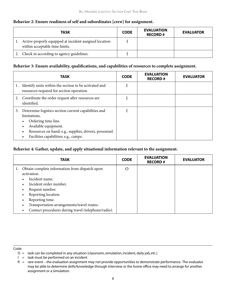#### **Behavior 2: Ensure readiness of self and subordinates [crew] for assignment.**

| <b>TASK</b>                                                                                 | <b>CODE</b> | <b>EVALUATION</b><br><b>RECORD#</b> | <b>EVALUATOR</b> |
|---------------------------------------------------------------------------------------------|-------------|-------------------------------------|------------------|
| 1. Arrive properly equipped at incident assigned location<br>within acceptable time limits. |             |                                     |                  |
| 2. Check in according to agency guidelines.                                                 |             |                                     |                  |

#### **Behavior 3: Ensure availability, qualifications, and capabilities of resources to complete assignment.**

|    | <b>TASK</b>                                                                                                                                                                                                            | <b>CODE</b> | <b>EVALUATION</b><br><b>RECORD#</b> | <b>EVALUATOR</b> |
|----|------------------------------------------------------------------------------------------------------------------------------------------------------------------------------------------------------------------------|-------------|-------------------------------------|------------------|
| 1. | Identify units within the section to be activated and<br>resources required for section operation.                                                                                                                     |             |                                     |                  |
|    | Coordinate the order request after resources are<br>identified.                                                                                                                                                        |             |                                     |                  |
| 3. | Determine logistics section current capabilities and<br>limitations.<br>Ordering time line.<br>Available equipment.<br>Resources on hand; e.g., supplies, drivers, personnel.<br>Facilities capabilities; e.g., camps. |             |                                     |                  |

#### **Behavior 4: Gather, update, and apply situational information relevant to the assignment.**

|           | <b>TASK</b>                                         | <b>CODE</b> | <b>EVALUATION</b><br><b>RECORD#</b> | <b>EVALUATOR</b> |
|-----------|-----------------------------------------------------|-------------|-------------------------------------|------------------|
|           | Obtain complete information from dispatch upon      | $\rm{O}$    |                                     |                  |
|           | activation.                                         |             |                                     |                  |
| $\bullet$ | Incident name.                                      |             |                                     |                  |
|           | Incident order number.                              |             |                                     |                  |
| $\bullet$ | Request number.                                     |             |                                     |                  |
|           | Reporting location.                                 |             |                                     |                  |
| $\bullet$ | Reporting time.                                     |             |                                     |                  |
|           | Transportation arrangements/travel routes.          |             |                                     |                  |
|           | Contact procedures during travel (telephone/radio). |             |                                     |                  |

- $O =$  task can be completed in any situation (classroom, simulation, incident, daily job, etc.)
- $I =$  task must be performed on an incident

 $R =$  rare event – the evaluation assignment may not provide opportunities to demonstrate performance. The evaluator may be able to determine skills/knowledge through interview or the home office may need to arrange for another assignment or a simulation.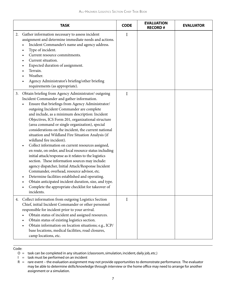| <b>TASK</b>                                                                                                                                                                                                                                                                                                                                                                                                                                                                                                                                                                                                                                                                                                                                                                                                                                                                                                                                                                                                                                  | <b>CODE</b> | <b>EVALUATION</b><br><b>RECORD#</b> | <b>EVALUATOR</b> |
|----------------------------------------------------------------------------------------------------------------------------------------------------------------------------------------------------------------------------------------------------------------------------------------------------------------------------------------------------------------------------------------------------------------------------------------------------------------------------------------------------------------------------------------------------------------------------------------------------------------------------------------------------------------------------------------------------------------------------------------------------------------------------------------------------------------------------------------------------------------------------------------------------------------------------------------------------------------------------------------------------------------------------------------------|-------------|-------------------------------------|------------------|
| 2.<br>Gather information necessary to assess incident<br>assignment and determine immediate needs and actions.<br>Incident Commander's name and agency address.<br>Type of incident.<br>$\bullet$<br>Current resource commitments.<br>Current situation.<br>Expected duration of assignment.<br>Terrain.<br>Weather.<br>Agency Administrator's briefing/other briefing<br>requirements (as appropriate).                                                                                                                                                                                                                                                                                                                                                                                                                                                                                                                                                                                                                                     | $\mathbf I$ |                                     |                  |
| Obtain briefing from Agency Administrator/outgoing<br>3.<br>Incident Commander and gather information.<br>Ensure that briefings from Agency Administrator/<br>outgoing Incident Commander are complete<br>and include, as a minimum description: Incident<br>Objectives, ICS Form 201, organizational structure<br>(area command or single organization), special<br>considerations on the incident, the current national<br>situation and Wildland Fire Situation Analysis (if<br>wildland fire incident).<br>Collect information on current resources assigned,<br>$\bullet$<br>en route, on order, and local resource status including<br>initial attack/response as it relates to the logistics<br>section. These information sources may include:<br>agency dispatcher, Initial Attack/Response Incident<br>Commander, overhead, resource advisor, etc.<br>Determine facilities established and operating.<br>Obtain anticipated incident duration, size, and type.<br>Complete the appropriate checklist for takeover of<br>incidents. | I           |                                     |                  |
| Collect information from outgoing Logistics Section<br>4.<br>Chief, initial Incident Commander or other personnel<br>responsible for incident prior to your arrival.<br>Obtain status of incident and assigned resources.<br>Obtain status of existing logistics section.<br>Obtain information on location situations; e.g., ICP/<br>$\bullet$<br>base locations, medical facilities, road closures,<br>camp locations, etc.                                                                                                                                                                                                                                                                                                                                                                                                                                                                                                                                                                                                                | I           |                                     |                  |

Code:

 $I =$  task must be performed on an incident

O = task can be completed in any situation (classroom, simulation, incident, daily job, etc.)

 $R =$  rare event – the evaluation assignment may not provide opportunities to demonstrate performance. The evaluator may be able to determine skills/knowledge through interview or the home office may need to arrange for another assignment or a simulation.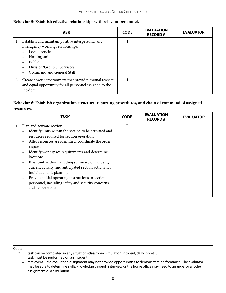#### **Behavior 5: Establish effective relationships with relevant personnel.**

| <b>TASK</b>                                                                                                                                                                                        | <b>CODE</b> | <b>EVALUATION</b><br><b>RECORD#</b> | <b>EVALUATOR</b> |
|----------------------------------------------------------------------------------------------------------------------------------------------------------------------------------------------------|-------------|-------------------------------------|------------------|
| Establish and maintain positive interpersonal and<br>interagency working relationships.<br>Local agencies.<br>Hosting unit.<br>Public.<br>Division/Group Supervisors.<br>Command and General Staff |             |                                     |                  |
| 2. Create a work environment that provides mutual respect<br>and equal opportunity for all personnel assigned to the<br>incident.                                                                  |             |                                     |                  |

#### **Behavior 6: Establish organization structure, reporting procedures, and chain of command of assigned resources.**

| <b>TASK</b>                                                                                                                                                                                                                                                                                                                                                                                                                                                                                                                                                                                                            | <b>CODE</b> | <b>EVALUATION</b><br><b>RECORD#</b> | <b>EVALUATOR</b> |
|------------------------------------------------------------------------------------------------------------------------------------------------------------------------------------------------------------------------------------------------------------------------------------------------------------------------------------------------------------------------------------------------------------------------------------------------------------------------------------------------------------------------------------------------------------------------------------------------------------------------|-------------|-------------------------------------|------------------|
| Plan and activate section.<br>1.<br>Identify units within the section to be activated and<br>$\bullet$<br>resources required for section operation.<br>After resources are identified, coordinate the order<br>$\bullet$<br>request.<br>Identify work space requirements and determine<br>$\bullet$<br>locations.<br>Brief unit leaders including summary of incident,<br>$\bullet$<br>current activity, and anticipated section activity for<br>individual unit planning.<br>Provide initial operating instructions to section<br>$\bullet$<br>personnel, including safety and security concerns<br>and expectations. | I           |                                     |                  |

- $O =$  task can be completed in any situation (classroom, simulation, incident, daily job, etc.)
- $I =$  task must be performed on an incident

 $R =$  rare event – the evaluation assignment may not provide opportunities to demonstrate performance. The evaluator may be able to determine skills/knowledge through interview or the home office may need to arrange for another assignment or a simulation.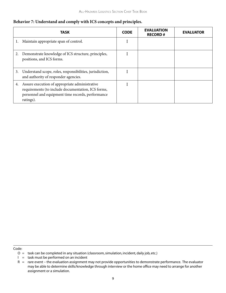#### **Behavior 7: Understand and comply with ICS concepts and principles.**

|    | TASK                                                                                                                                                                   | <b>CODE</b> | <b>EVALUATION</b><br><b>RECORD#</b> | <b>EVALUATOR</b> |
|----|------------------------------------------------------------------------------------------------------------------------------------------------------------------------|-------------|-------------------------------------|------------------|
| 1. | Maintain appropriate span of control.                                                                                                                                  |             |                                     |                  |
| 2. | Demonstrate knowledge of ICS structure, principles,<br>positions, and ICS forms.                                                                                       |             |                                     |                  |
| 3. | Understand scope, roles, responsibilities, jurisdiction,<br>and authority of responder agencies.                                                                       |             |                                     |                  |
| 4. | Assure execution of appropriate administrative<br>requirements (to include documentation, ICS forms,<br>personnel and equipment time records, performance<br>ratings). |             |                                     |                  |

O = task can be completed in any situation (classroom, simulation, incident, daily job, etc.)

 $I =$  task must be performed on an incident

 $R =$  rare event – the evaluation assignment may not provide opportunities to demonstrate performance. The evaluator may be able to determine skills/knowledge through interview or the home office may need to arrange for another assignment or a simulation.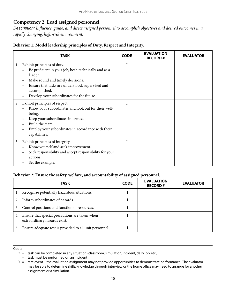#### **Competency 2: Lead assigned personnel**

*Description: Influence, guide, and direct assigned personnel to accomplish objectives and desired outcomes in a rapidly changing, high-risk environment.*

#### **Behavior 1: Model leadership principles of Duty, Respect and Integrity.**

| <b>TASK</b>                                                                                                                                                                                                                                                                                                    | <b>CODE</b> | <b>EVALUATION</b><br><b>RECORD#</b> | <b>EVALUATOR</b> |
|----------------------------------------------------------------------------------------------------------------------------------------------------------------------------------------------------------------------------------------------------------------------------------------------------------------|-------------|-------------------------------------|------------------|
| Exhibit principles of duty.<br>1.<br>Be proficient in your job, both technically and as a<br>$\bullet$<br>leader.<br>Make sound and timely decisions.<br>$\bullet$<br>Ensure that tasks are understood, supervised and<br>$\bullet$<br>accomplished.<br>Develop your subordinates for the future.<br>$\bullet$ | I           |                                     |                  |
| Exhibit principles of respect.<br>2.<br>Know your subordinates and look out for their well-<br>being.<br>Keep your subordinates informed.<br>$\bullet$<br>Build the team.<br>Employ your subordinates in accordance with their<br>capabilities.                                                                | I           |                                     |                  |
| Exhibit principles of integrity.<br>3.<br>Know yourself and seek improvement.<br>Seek responsibility and accept responsibility for your<br>$\bullet$<br>actions.<br>Set the example.                                                                                                                           | I           |                                     |                  |

#### **Behavior 2: Ensure the safety, welfare, and accountability of assigned personnel.**

|    | <b>TASK</b>                                                                    | <b>CODE</b> | <b>EVALUATION</b><br><b>RECORD#</b> | <b>EVALUATOR</b> |
|----|--------------------------------------------------------------------------------|-------------|-------------------------------------|------------------|
|    | Recognize potentially hazardous situations.                                    |             |                                     |                  |
|    | Inform subordinates of hazards.                                                |             |                                     |                  |
| 3. | Control positions and function of resources.                                   |             |                                     |                  |
| 4. | Ensure that special precautions are taken when<br>extraordinary hazards exist. |             |                                     |                  |
| 5. | Ensure adequate rest is provided to all unit personnel.                        |             |                                     |                  |

O = task can be completed in any situation (classroom, simulation, incident, daily job, etc.)

 $I =$  task must be performed on an incident

 $R =$  rare event – the evaluation assignment may not provide opportunities to demonstrate performance. The evaluator may be able to determine skills/knowledge through interview or the home office may need to arrange for another assignment or a simulation.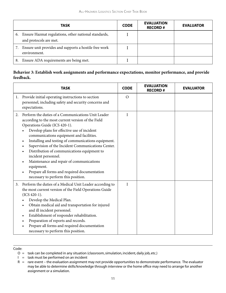|    | <b>TASK</b>                                                                       | <b>CODE</b> | <b>EVALUATION</b><br><b>RECORD#</b> | <b>EVALUATOR</b> |
|----|-----------------------------------------------------------------------------------|-------------|-------------------------------------|------------------|
|    | 6. Ensure Hazmat regulations, other national standards,<br>and protocols are met. |             |                                     |                  |
|    | 7. Ensure unit provides and supports a hostile free work<br>environment.          |             |                                     |                  |
| 8. | Ensure ADA requirements are being met.                                            |             |                                     |                  |

#### **Behavior 3: Establish work assignments and performance expectations, monitor performance, and provide feedback.**

|    | <b>TASK</b>                                                                                                                                                                                                                                                                                                                                                                                                                                                                                                                                                                                                     | <b>CODE</b>  | <b>EVALUATION</b><br><b>RECORD#</b> | <b>EVALUATOR</b> |
|----|-----------------------------------------------------------------------------------------------------------------------------------------------------------------------------------------------------------------------------------------------------------------------------------------------------------------------------------------------------------------------------------------------------------------------------------------------------------------------------------------------------------------------------------------------------------------------------------------------------------------|--------------|-------------------------------------|------------------|
| 1. | Provide initial operating instructions to section<br>personnel, including safety and security concerns and<br>expectations.                                                                                                                                                                                                                                                                                                                                                                                                                                                                                     | $\Omega$     |                                     |                  |
| 2. | Perform the duties of a Communications Unit Leader<br>according to the most current version of the Field<br>Operations Guide (ICS 420-1).<br>Develop plans for effective use of incident<br>communications equipment and facilities.<br>Installing and testing of communications equipment.<br>$\bullet$<br>Supervision of the Incident Communications Center.<br>$\bullet$<br>Distribution of communications equipment to<br>$\bullet$<br>incident personnel.<br>Maintenance and repair of communications<br>equipment.<br>Prepare all forms and required documentation<br>necessary to perform this position. | $\mathbf{I}$ |                                     |                  |
| 3. | Perform the duties of a Medical Unit Leader according to<br>the most current version of the Field Operations Guide<br>$(ICS 420-1).$<br>Develop the Medical Plan.<br>Obtain medical aid and transportation for injured<br>$\bullet$<br>and ill incident personnel.<br>Establishment of responder rehabilitation.<br>$\bullet$<br>Preparation of reports and records.<br>$\bullet$<br>Prepare all forms and required documentation<br>necessary to perform this position.                                                                                                                                        | $\mathbf{I}$ |                                     |                  |

Code:

 $I =$  task must be performed on an incident

O = task can be completed in any situation (classroom, simulation, incident, daily job, etc.)

 $R =$  rare event – the evaluation assignment may not provide opportunities to demonstrate performance. The evaluator may be able to determine skills/knowledge through interview or the home office may need to arrange for another assignment or a simulation.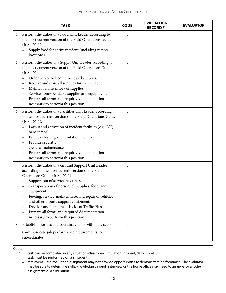|    | <b>TASK</b>                                                                                                                                                                                                                                                                                                                                                                                                                                                                                                                         | <b>CODE</b>  | <b>EVALUATION</b><br><b>RECORD#</b> | <b>EVALUATOR</b> |
|----|-------------------------------------------------------------------------------------------------------------------------------------------------------------------------------------------------------------------------------------------------------------------------------------------------------------------------------------------------------------------------------------------------------------------------------------------------------------------------------------------------------------------------------------|--------------|-------------------------------------|------------------|
| 4. | Perform the duties of a Food Unit Leader according to<br>the most current version of the Field Operations Guide<br>$(ICS 420-1).$<br>Supply food for entire incident (including remote<br>locations).                                                                                                                                                                                                                                                                                                                               | $\mathbf I$  |                                     |                  |
| 5. | Perform the duties of a Supply Unit Leader according to<br>the most current version of the Field Operations Guide<br>(ICS 420).<br>Order personnel, equipment and supplies.<br>Receive and store all supplies for the incident.<br>Maintain an inventory of supplies.<br>Service nonexpendable supplies and equipment.<br>Prepare all forms and required documentation<br>necessary to perform this position.                                                                                                                       | $\mathbf{I}$ |                                     |                  |
| 6. | Perform the duties of a Facilities Unit Leader according<br>to the most current version of the Field Operations Guide<br>$(ICS 420-1).$<br>Layout and activation of incident facilities (e.g., ICP,<br>base camps).<br>Provide sleeping and sanitation facilities.<br>$\bullet$<br>Provide security.<br>General maintenance.<br>Prepare all forms and required documentation<br>$\bullet$<br>necessary to perform this position.                                                                                                    | $\mathbf I$  |                                     |                  |
| 7. | Perform the duties of a Ground Support Unit Leader<br>according to the most current version of the Field<br>Operations Guide (ICS 420-1).<br>Support out of service resources.<br>Transportation of personnel, supplies, food, and<br>٠<br>equipment.<br>Fueling, service, maintenance, and repair of vehicles<br>$\bullet$<br>and other ground support equipment.<br>Develop and implement Incident Traffic Plan.<br>$\bullet$<br>Prepare all forms and required documentation<br>$\bullet$<br>necessary to perform this position. | $\mathbf I$  |                                     |                  |
| 8. | Establish priorities and coordinate units within the section.                                                                                                                                                                                                                                                                                                                                                                                                                                                                       | I            |                                     |                  |
| 9. | Communicate job performance requirements to<br>subordinates.                                                                                                                                                                                                                                                                                                                                                                                                                                                                        | $\rm I$      |                                     |                  |

O = task can be completed in any situation (classroom, simulation, incident, daily job, etc.)

 $I =$  task must be performed on an incident

 $R =$  rare event – the evaluation assignment may not provide opportunities to demonstrate performance. The evaluator may be able to determine skills/knowledge through interview or the home office may need to arrange for another assignment or a simulation.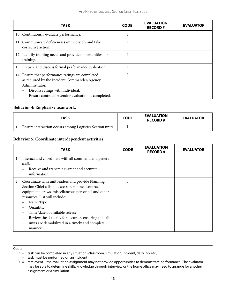| TASK                                                                                                                                                                                                         | <b>CODE</b> | <b>EVALUATION</b><br><b>RECORD#</b> | <b>EVALUATOR</b> |
|--------------------------------------------------------------------------------------------------------------------------------------------------------------------------------------------------------------|-------------|-------------------------------------|------------------|
| 10. Continuously evaluate performance.                                                                                                                                                                       |             |                                     |                  |
| 11. Communicate deficiencies immediately and take<br>corrective action.                                                                                                                                      |             |                                     |                  |
| 12. Identify training needs and provide opportunities for<br>training.                                                                                                                                       |             |                                     |                  |
| 13. Prepare and discuss formal performance evaluation.                                                                                                                                                       |             |                                     |                  |
| 14. Ensure that performance ratings are completed<br>as required by the Incident Commander/Agency<br>Administrator.<br>Discuss ratings with individual.<br>Ensure contractor/vendor evaluation is completed. |             |                                     |                  |

#### **Behavior 4: Emphasize teamwork.**

| <b>TASK</b>                                              | <b>CODE</b> | <b>EVALUATION</b><br><b>RECORD#</b> | <b>EVALUATOR</b> |
|----------------------------------------------------------|-------------|-------------------------------------|------------------|
| Ensure interaction occurs among Logistics Section units. |             |                                     |                  |

#### **Behavior 5: Coordinate interdependent activities.**

| TASK                                                                                                                                                                                                                                                                                                                                                                                                                            | <b>CODE</b> | <b>EVALUATION</b><br><b>RECORD#</b> | <b>EVALUATOR</b> |
|---------------------------------------------------------------------------------------------------------------------------------------------------------------------------------------------------------------------------------------------------------------------------------------------------------------------------------------------------------------------------------------------------------------------------------|-------------|-------------------------------------|------------------|
| Interact and coordinate with all command and general<br>1.<br>staff.<br>Receive and transmit current and accurate<br>$\bullet$<br>information.                                                                                                                                                                                                                                                                                  |             |                                     |                  |
| Coordinate with unit leaders and provide Planning<br>2.<br>Section Chief a list of excess personnel, contract<br>equipment, crews, miscellaneous personnel and other<br>resources. List will include:<br>Name/type.<br>$\bullet$<br>Quantity.<br>$\bullet$<br>Time/date of available release.<br>Review the list daily for accuracy ensuring that all<br>$\bullet$<br>units are demobilized in a timely and complete<br>manner. | L           |                                     |                  |

- $I =$  task must be performed on an incident
- $R =$  rare event the evaluation assignment may not provide opportunities to demonstrate performance. The evaluator may be able to determine skills/knowledge through interview or the home office may need to arrange for another assignment or a simulation.

O = task can be completed in any situation (classroom, simulation, incident, daily job, etc.)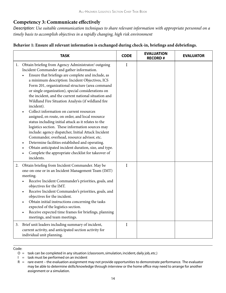#### **Competency 3: Communicate effectively**

*Description: Use suitable communication techniques to share relevant information with appropriate personnel on a timely basis to accomplish objectives in a rapidly changing, high risk environment*

|    | <b>TASK</b>                                                                                                                                                                                                                                                                                                                                                                                                                                                                                                                                                                                                                                                                                                                                                                                                                                                                                                                                       | <b>CODE</b> | <b>EVALUATION</b><br><b>RECORD#</b> | <b>EVALUATOR</b> |
|----|---------------------------------------------------------------------------------------------------------------------------------------------------------------------------------------------------------------------------------------------------------------------------------------------------------------------------------------------------------------------------------------------------------------------------------------------------------------------------------------------------------------------------------------------------------------------------------------------------------------------------------------------------------------------------------------------------------------------------------------------------------------------------------------------------------------------------------------------------------------------------------------------------------------------------------------------------|-------------|-------------------------------------|------------------|
| 1. | Obtain briefing from Agency Administrator/outgoing<br>Incident Commander and gather information.<br>Ensure that briefings are complete and include, as<br>a minimum description: Incident Objectives, ICS<br>Form 201, organizational structure (area command<br>or single organization), special considerations on<br>the incident, and the current national situation and<br>Wildland Fire Situation Analysis (if wildland fire<br>incident).<br>Collect information on current resources<br>assigned, en route, on order, and local resource<br>status including initial attack as it relates to the<br>logistics section. These information sources may<br>include: agency dispatcher, Initial Attack Incident<br>Commander, overhead, resource advisor, etc.<br>Determine facilities established and operating.<br>Obtain anticipated incident duration, size, and type.<br>Complete the appropriate checklist for takeover of<br>incidents. | I           |                                     |                  |
| 2. | Obtain briefing from Incident Commander. May be<br>one-on-one or in an Incident Management Team (IMT)<br>meeting.<br>Receive Incident Commander's priorities, goals, and<br>objectives for the IMT.<br>Receive Incident Commander's priorities, goals, and<br>objectives for the incident.<br>Obtain initial instructions concerning the tasks<br>expected of the logistics section.<br>Receive expected time frames for briefings, planning<br>meetings, and team meetings.                                                                                                                                                                                                                                                                                                                                                                                                                                                                      | $\mathbf I$ |                                     |                  |
|    | 3. Brief unit leaders including summary of incident,<br>current activity, and anticipated section activity for<br>individual unit planning.                                                                                                                                                                                                                                                                                                                                                                                                                                                                                                                                                                                                                                                                                                                                                                                                       | $\mathbf I$ |                                     |                  |

#### **Behavior 1: Ensure all relevant information is exchanged during check-in, briefings and debriefings.**

- $I =$  task must be performed on an incident
- $R =$  rare event the evaluation assignment may not provide opportunities to demonstrate performance. The evaluator may be able to determine skills/knowledge through interview or the home office may need to arrange for another assignment or a simulation.

O = task can be completed in any situation (classroom, simulation, incident, daily job, etc.)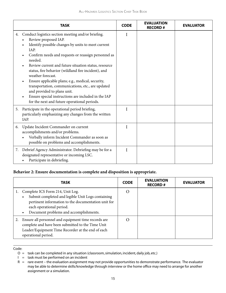|    | <b>TASK</b>                                                                                                                                                                                                                                                                                                                                                                                                                                                                                                                                                                                                                                        | <b>CODE</b> | <b>EVALUATION</b><br><b>RECORD#</b> | <b>EVALUATOR</b> |
|----|----------------------------------------------------------------------------------------------------------------------------------------------------------------------------------------------------------------------------------------------------------------------------------------------------------------------------------------------------------------------------------------------------------------------------------------------------------------------------------------------------------------------------------------------------------------------------------------------------------------------------------------------------|-------------|-------------------------------------|------------------|
| 4. | Conduct logistics section meeting and/or briefing.<br>Review proposed IAP.<br>$\bullet$<br>Identify possible changes by units to meet current<br>IAP.<br>Confirm needs and requests or reassign personnel as<br>$\bullet$<br>needed.<br>Review current and future situation status, resource<br>status, fire behavior (wildland fire incident), and<br>weather forecast.<br>Ensure applicable plans; e.g., medical, security,<br>$\bullet$<br>transportation, communications, etc., are updated<br>and provided to plans unit.<br>Ensure special instructions are included in the IAP<br>$\bullet$<br>for the next and future operational periods. | I           |                                     |                  |
| 5. | Participate in the operational period briefing,<br>particularly emphasizing any changes from the written<br>IAP.                                                                                                                                                                                                                                                                                                                                                                                                                                                                                                                                   | I           |                                     |                  |
| 6. | Update Incident Commander on current<br>accomplishments and/or problems.<br>Verbally inform Incident Commander as soon as<br>possible on problems and accomplishments.                                                                                                                                                                                                                                                                                                                                                                                                                                                                             | I           |                                     |                  |
|    | 7. Debrief Agency Administrator. Debriefing may be for a<br>designated representative or incoming LSC.<br>Participate in debriefing.                                                                                                                                                                                                                                                                                                                                                                                                                                                                                                               | I           |                                     |                  |

#### **Behavior 2: Ensure documentation is complete and disposition is appropriate.**

| <b>TASK</b>                                                                                                                                                                                                                     | <b>CODE</b> | <b>EVALUATION</b><br><b>RECORD#</b> | <b>EVALUATOR</b> |
|---------------------------------------------------------------------------------------------------------------------------------------------------------------------------------------------------------------------------------|-------------|-------------------------------------|------------------|
| Complete ICS Form 214, Unit Log.<br>Submit completed and legible Unit Logs containing<br>$\bullet$<br>pertinent information to the documentation unit for<br>each operational period.<br>Document problems and accomplishments. | $\Omega$    |                                     |                  |
| Ensure all personnel and equipment time records are<br>complete and have been submitted to the Time Unit<br>Leader/Equipment Time Recorder at the end of each<br>operational period.                                            | $\bigcap$   |                                     |                  |

- $I =$  task must be performed on an incident
- $R =$  rare event the evaluation assignment may not provide opportunities to demonstrate performance. The evaluator may be able to determine skills/knowledge through interview or the home office may need to arrange for another assignment or a simulation.

O = task can be completed in any situation (classroom, simulation, incident, daily job, etc.)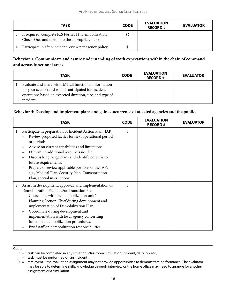|    | <b>TASK</b>                                                                                             | <b>CODE</b> | <b>EVALUATION</b><br><b>RECORD#</b> | <b>EVALUATOR</b> |
|----|---------------------------------------------------------------------------------------------------------|-------------|-------------------------------------|------------------|
| 3. | If required, complete ICS Form 211, Demobilization<br>Check-Out, and turn in to the appropriate person. |             |                                     |                  |
| 4. | Participate in after-incident review per agency policy.                                                 |             |                                     |                  |

#### **Behavior 3: Communicate and assure understanding of work expectations within the chain of command and across functional areas.**

| <b>TASK</b>                                                                                                                                                                              | <b>CODE</b> | <b>EVALUATION</b><br><b>RECORD#</b> | <b>EVALUATOR</b> |
|------------------------------------------------------------------------------------------------------------------------------------------------------------------------------------------|-------------|-------------------------------------|------------------|
| Evaluate and share with IMT all functional information<br>for your section and what is anticipated for incident<br>operations based on expected duration, size, and type of<br>incident. |             |                                     |                  |

#### **Behavior 4: Develop and implement plans and gain concurrence of affected agencies and the public.**

| TASK                                                                                                                                                                                                                                                                                                                                                                                                                                                                                                          | <b>CODE</b>  | <b>EVALUATION</b><br><b>RECORD#</b> | <b>EVALUATOR</b> |
|---------------------------------------------------------------------------------------------------------------------------------------------------------------------------------------------------------------------------------------------------------------------------------------------------------------------------------------------------------------------------------------------------------------------------------------------------------------------------------------------------------------|--------------|-------------------------------------|------------------|
| Participate in preparation of Incident Action Plan (IAP).<br>1.<br>Review proposed tactics for next operational period<br>$\bullet$<br>or periods.<br>Advise on current capabilities and limitations.<br>$\bullet$<br>Determine additional resources needed.<br>Discuss long range plans and identify potential or<br>$\bullet$<br>future requirements.<br>Prepare or review applicable portions of the IAP;<br>$\bullet$<br>e.g., Medical Plan, Security Plan, Transportation<br>Plan, special instructions. | I            |                                     |                  |
| Assist in development, approval, and implementation of<br>2.<br>Demobilization Plan and/or Transition Plan.<br>Coordinate with the demobilization unit/<br>Planning Section Chief during development and<br>implementation of Demobilization Plan.<br>Coordinate during development and<br>$\bullet$<br>implementation with local agency concerning<br>functional demobilization procedures.<br>Brief staff on demobilization responsibilities.                                                               | $\mathbf{I}$ |                                     |                  |

O = task can be completed in any situation (classroom, simulation, incident, daily job, etc.)

 $I =$  task must be performed on an incident

 $R =$  rare event – the evaluation assignment may not provide opportunities to demonstrate performance. The evaluator may be able to determine skills/knowledge through interview or the home office may need to arrange for another assignment or a simulation.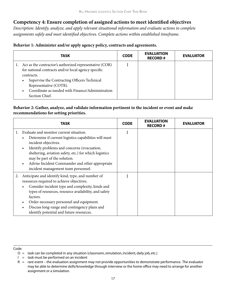#### **Competency 4: Ensure completion of assigned actions to meet identified objectives**

*Description: Identify, analyze, and apply relevant situational information and evaluate actions to complete assignments safely and meet identified objectives. Complete actions within established timeframe.*

|  | Behavior 1: Administer and/or apply agency policy, contracts and agreements. |
|--|------------------------------------------------------------------------------|
|--|------------------------------------------------------------------------------|

| TASK                                                                                                                                                                                                                                                                                                   | <b>CODE</b> | <b>EVALUATION</b><br><b>RECORD#</b> | <b>EVALUATOR</b> |
|--------------------------------------------------------------------------------------------------------------------------------------------------------------------------------------------------------------------------------------------------------------------------------------------------------|-------------|-------------------------------------|------------------|
| Act as the contractor's authorized representative (COR)<br>for national contracts and/or local agency specific<br>contracts.<br>Supervise the Contracting Officers Technical<br>$\bullet$<br>Representative (COTR).<br>Coordinate as needed with Finance/Administration<br>$\bullet$<br>Section Chief. |             |                                     |                  |

#### **Behavior 2: Gather, analyze, and validate information pertinent to the incident or event and make recommendations for setting priorities.**

| <b>TASK</b>                                                                                                                                                                                                                                                                                                                                                                    | <b>CODE</b> | <b>EVALUATION</b><br><b>RECORD#</b> | <b>EVALUATOR</b> |
|--------------------------------------------------------------------------------------------------------------------------------------------------------------------------------------------------------------------------------------------------------------------------------------------------------------------------------------------------------------------------------|-------------|-------------------------------------|------------------|
| Evaluate and monitor current situation.<br>1.<br>Determine if current logistics capabilities will meet<br>incident objectives.<br>Identify problems and concerns (evacuation,<br>$\bullet$<br>sheltering, aviation safety, etc.) for which logistics<br>may be part of the solution.<br>Advise Incident Commander and other appropriate<br>incident management team personnel. |             |                                     |                  |
| Anticipate and identify kind, type, and number of<br>2.<br>resources required to achieve objectives.<br>Consider incident type and complexity, kinds and<br>types of resources, resource availability, and safety<br>factors.<br>Order necessary personnel and equipment.<br>Discuss long-range and contingency plans and<br>identify potential and future resources.          |             |                                     |                  |

O = task can be completed in any situation (classroom, simulation, incident, daily job, etc.)

 $I =$  task must be performed on an incident

 $R =$  rare event – the evaluation assignment may not provide opportunities to demonstrate performance. The evaluator may be able to determine skills/knowledge through interview or the home office may need to arrange for another assignment or a simulation.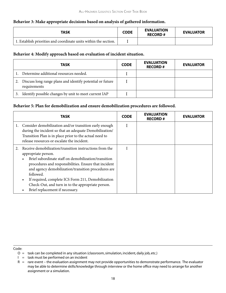#### **Behavior 3: Make appropriate decisions based on analysis of gathered information.**

| <b>TASK</b>                                                      | <b>CODE</b> | <b>EVALUATION</b><br><b>RECORD#</b> | <b>EVALUATOR</b> |
|------------------------------------------------------------------|-------------|-------------------------------------|------------------|
| 1. Establish priorities and coordinate units within the section. |             |                                     |                  |

#### **Behavior 4: Modify approach based on evaluation of incident situation.**

|    | <b>TASK</b>                                                                  | <b>CODE</b> | <b>EVALUATION</b><br><b>RECORD#</b> | <b>EVALUATOR</b> |
|----|------------------------------------------------------------------------------|-------------|-------------------------------------|------------------|
|    | 1. Determine additional resources needed.                                    |             |                                     |                  |
|    | 2. Discuss long range plans and identify potential or future<br>requirements |             |                                     |                  |
| 3. | Identify possible changes by unit to meet current IAP                        |             |                                     |                  |

#### **Behavior 5: Plan for demobilization and ensure demobilization procedures are followed.**

| TASK                                                                                                                                                                                                                                                                                                                                                                                                                                 |  | <b>EVALUATION</b><br><b>RECORD#</b> | <b>EVALUATOR</b> |
|--------------------------------------------------------------------------------------------------------------------------------------------------------------------------------------------------------------------------------------------------------------------------------------------------------------------------------------------------------------------------------------------------------------------------------------|--|-------------------------------------|------------------|
| 1. Consider demobilization and/or transition early enough<br>during the incident so that an adequate Demobilization/<br>Transition Plan is in place prior to the actual need to<br>release resources or escalate the incident.                                                                                                                                                                                                       |  |                                     |                  |
| Receive demobilization/transition instructions from the<br>2.<br>appropriate person.<br>Brief subordinate staff on demobilization/transition<br>procedures and responsibilities. Ensure that incident<br>and agency demobilization/transition procedures are<br>followed.<br>If required, complete ICS Form 211, Demobilization<br>$\bullet$<br>Check-Out, and turn in to the appropriate person.<br>Brief replacement if necessary. |  |                                     |                  |

- O = task can be completed in any situation (classroom, simulation, incident, daily job, etc.)
- $I =$  task must be performed on an incident
- $R =$  rare event the evaluation assignment may not provide opportunities to demonstrate performance. The evaluator may be able to determine skills/knowledge through interview or the home office may need to arrange for another assignment or a simulation.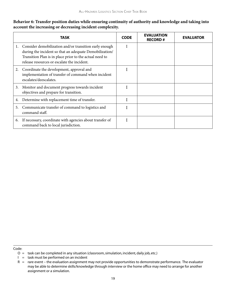#### **Behavior 6: Transfer position duties while ensuring continuity of authority and knowledge and taking into account the increasing or decreasing incident complexity.**

|    | TASK                                                                                                                                                                                                                        | <b>CODE</b> | <b>EVALUATION</b><br><b>RECORD#</b> | <b>EVALUATOR</b> |
|----|-----------------------------------------------------------------------------------------------------------------------------------------------------------------------------------------------------------------------------|-------------|-------------------------------------|------------------|
| 1. | Consider demobilization and/or transition early enough<br>during the incident so that an adequate Demobilization/<br>Transition Plan is in place prior to the actual need to<br>release resources or escalate the incident. | T           |                                     |                  |
| 2. | Coordinate the development, approval and<br>implementation of transfer of command when incident<br>escalates/deescalates.                                                                                                   |             |                                     |                  |
| 3. | Monitor and document progress towards incident<br>objectives and prepare for transition.                                                                                                                                    |             |                                     |                  |
| 4. | Determine with replacement time of transfer.                                                                                                                                                                                |             |                                     |                  |
| 5. | Communicate transfer of command to logistics and<br>command staff.                                                                                                                                                          |             |                                     |                  |
| 6. | If necessary, coordinate with agencies about transfer of<br>command back to local jurisdiction.                                                                                                                             | I           |                                     |                  |

O = task can be completed in any situation (classroom, simulation, incident, daily job, etc.)

 $I =$  task must be performed on an incident

 $R =$  rare event – the evaluation assignment may not provide opportunities to demonstrate performance. The evaluator may be able to determine skills/knowledge through interview or the home office may need to arrange for another assignment or a simulation.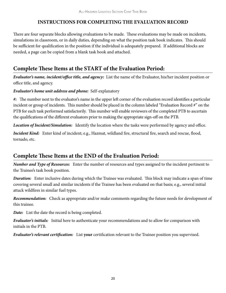#### **INSTRUCTIONS FOR COMPLETING THE EVALUATION RECORD**

There are four separate blocks allowing evaluations to be made. These evaluations may be made on incidents, simulations in classroom, or in daily duties, depending on what the position task book indicates. This should be sufficient for qualification in the position if the individual is adequately prepared. If additional blocks are needed, a page can be copied from a blank task book and attached.

## **Complete These Items at the START of the Evaluation Period:**

*Evaluator's name, incident/office title, and agency:* List the name of the Evaluator, his/her incident position or office title, and agency.

#### *Evaluator's home unit address and phone:* Self-explanatory

*#:* The number next to the evaluator's name in the upper left corner of the evaluation record identifies a particular incident or group of incidents. This number should be placed in the column labeled "Evaluation Record #" on the PTB for each task performed satisfactorily. This number will enable reviewers of the completed PTB to ascertain the qualifications of the different evaluators prior to making the appropriate sign-off on the PTB.

*Location of Incident/Simulation:* Identify the location where the tasks were performed by agency and office.

*Incident Kind:* Enter kind of incident; e.g., Hazmat, wildland fire, structural fire, search and rescue, flood, tornado, etc.

### **Complete These Items at the END of the Evaluation Period:**

*Number and Type of Resources:* Enter the number of resources and types assigned to the incident pertinent to the Trainee's task book position.

*Duration:* Enter inclusive dates during which the Trainee was evaluated. This block may indicate a span of time covering several small and similar incidents if the Trainee has been evaluated on that basis; e.g., several initial attack wildfires in similar fuel types.

*Recommendation:* Check as appropriate and/or make comments regarding the future needs for development of this trainee.

*Date:* List the date the record is being completed.

*Evaluator's initials:* Initial here to authenticate your recommendations and to allow for comparison with initials in the PTB.

*Evaluator's relevant certification:* List **your** certification relevant to the Trainee position you supervised.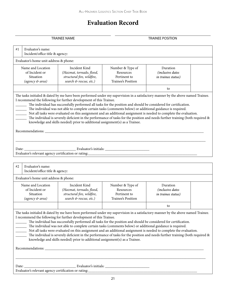## **Evaluation Record**

|                                                                     | <b>TRAINEE NAME</b>                                                                                                                                                                                                                                                                                                                                                                                                                                                                                                                                                                                                                                                                                                                                                            |                                                                     | <b>TRAINEE POSITION</b>                                            |  |
|---------------------------------------------------------------------|--------------------------------------------------------------------------------------------------------------------------------------------------------------------------------------------------------------------------------------------------------------------------------------------------------------------------------------------------------------------------------------------------------------------------------------------------------------------------------------------------------------------------------------------------------------------------------------------------------------------------------------------------------------------------------------------------------------------------------------------------------------------------------|---------------------------------------------------------------------|--------------------------------------------------------------------|--|
| Evaluator's name:<br>#1<br>Incident/office title & agency:          |                                                                                                                                                                                                                                                                                                                                                                                                                                                                                                                                                                                                                                                                                                                                                                                |                                                                     |                                                                    |  |
| Evaluator's home unit address & phone:                              |                                                                                                                                                                                                                                                                                                                                                                                                                                                                                                                                                                                                                                                                                                                                                                                |                                                                     |                                                                    |  |
| Name and Location<br>of Incident or<br>Situation<br>(agency & area) | Incident Kind<br>(Hazmat, tornado, flood,<br>structural fire, wildfire,<br>search & rescue, etc.)                                                                                                                                                                                                                                                                                                                                                                                                                                                                                                                                                                                                                                                                              | Number & Type of<br>Resources<br>Pertinent to<br>Trainee's Position | Duration<br><i>(inclusive dates)</i><br><i>in trainee status</i> ) |  |
|                                                                     |                                                                                                                                                                                                                                                                                                                                                                                                                                                                                                                                                                                                                                                                                                                                                                                |                                                                     | to                                                                 |  |
|                                                                     | The tasks initialed & dated by me have been performed under my supervision in a satisfactory manner by the above named Trainee.<br>I recommend the following for further development of this Trainee.<br>The individual has successfully performed all tasks for the position and should be considered for certification.<br>The individual was not able to complete certain tasks (comments below) or additional guidance is required.<br>Not all tasks were evaluated on this assignment and an additional assignment is needed to complete the evaluation.<br>The individual is severely deficient in the performance of tasks for the position and needs further training (both required &<br>knowledge and skills needed) prior to additional assignment(s) as a Trainee. |                                                                     |                                                                    |  |
| Date:<br>Evaluator's name:<br>#2<br>Incident/office title & agency: |                                                                                                                                                                                                                                                                                                                                                                                                                                                                                                                                                                                                                                                                                                                                                                                |                                                                     |                                                                    |  |
| Evaluator's home unit address & phone:                              |                                                                                                                                                                                                                                                                                                                                                                                                                                                                                                                                                                                                                                                                                                                                                                                |                                                                     |                                                                    |  |
| Name and Location<br>of Incident or<br>Situation<br>(agency & area) | Incident Kind<br>(Hazmat, tornado, flood,<br>structural fire, wildfire,<br>search & rescue, etc.)                                                                                                                                                                                                                                                                                                                                                                                                                                                                                                                                                                                                                                                                              | Number & Type of<br>Resources<br>Pertinent to<br>Trainee's Position | Duration<br><i>(inclusive dates)</i><br><i>in trainee status</i> ) |  |
|                                                                     |                                                                                                                                                                                                                                                                                                                                                                                                                                                                                                                                                                                                                                                                                                                                                                                |                                                                     | to                                                                 |  |
|                                                                     | The tasks initialed & dated by me have been performed under my supervision in a satisfactory manner by the above named Trainee.<br>I recommend the following for further development of this Trainee.<br>The individual has successfully performed all tasks for the position and should be considered for certification.<br>The individual was not able to complete certain tasks (comments below) or additional guidance is required.<br>Not all tasks were evaluated on this assignment and an additional assignment is needed to complete the evaluation.<br>The individual is severely deficient in the performance of tasks for the position and needs further training (both required &<br>knowledge and skills needed) prior to additional assignment(s) as a Trainee. |                                                                     |                                                                    |  |
| Date:                                                               |                                                                                                                                                                                                                                                                                                                                                                                                                                                                                                                                                                                                                                                                                                                                                                                |                                                                     |                                                                    |  |